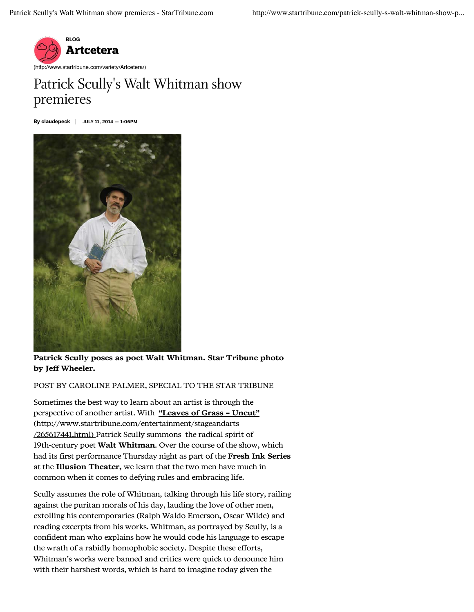

## Patrick Scully's Walt Whitman show premieres

By claudepeck JULY 11, 2014 — 1:06PM



Patrick Scully poses as poet Walt Whitman. Star Tribune photo by Jeff Wheeler.

POST BY CAROLINE PALMER, SPECIAL TO THE STAR TRIBUNE

Sometimes the best way to learn about an artist is through the perspective of another artist. With "Leaves of Grass – Uncut" (http://www.startribune.com/entertainment/stageandarts /265617441.html) Patrick Scully summons the radical spirit of 19th-century poet Walt Whitman. Over the course of the show, which had its first performance Thursday night as part of the Fresh Ink Series at the Illusion Theater, we learn that the two men have much in common when it comes to defying rules and embracing life.

Scully assumes the role of Whitman, talking through his life story, railing against the puritan morals of his day, lauding the love of other men, extolling his contemporaries (Ralph Waldo Emerson, Oscar Wilde) and reading excerpts from his works. Whitman, as portrayed by Scully, is a confident man who explains how he would code his language to escape the wrath of a rabidly homophobic society. Despite these efforts, Whitman's works were banned and critics were quick to denounce him with their harshest words, which is hard to imagine today given the